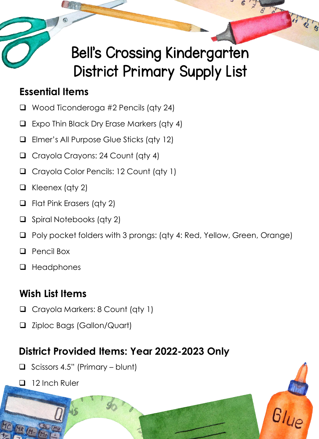

#### **Essential Items**

- ❑ Wood Ticonderoga #2 Pencils (qty 24)
- ❑ Expo Thin Black Dry Erase Markers (qty 4)
- ❑ Elmer's All Purpose Glue Sticks (qty 12)
- ❑ Crayola Crayons: 24 Count (qty 4)
- ❑ Crayola Color Pencils: 12 Count (qty 1)
- ❑ Kleenex (qty 2)
- ❑ Flat Pink Erasers (qty 2)
- ❑ Spiral Notebooks (qty 2)
- ❑ Poly pocket folders with 3 prongs: (qty 4: Red, Yellow, Green, Orange)
- ❑ Pencil Box
- ❑ Headphones

## **Wish List Items**

- ❑ Crayola Markers: 8 Count (qty 1)
- ❑ Ziploc Bags (Gallon/Quart)

- ❑ Scissors 4.5" (Primary blunt)
- ❑ 12 Inch Ruler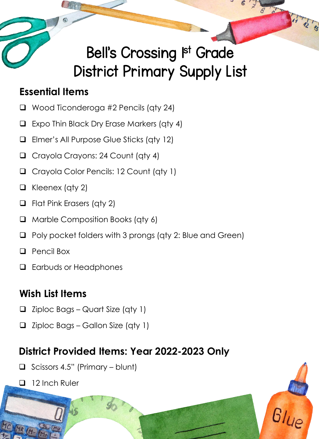## Bell's Crossing Ist Grade District Primary Supply List

#### **Essential Items**

- ❑ Wood Ticonderoga #2 Pencils (qty 24)
- ❑ Expo Thin Black Dry Erase Markers (qty 4)
- ❑ Elmer's All Purpose Glue Sticks (qty 12)
- ❑ Crayola Crayons: 24 Count (qty 4)
- ❑ Crayola Color Pencils: 12 Count (qty 1)
- ❑ Kleenex (qty 2)
- ❑ Flat Pink Erasers (qty 2)
- ❑ Marble Composition Books (qty 6)
- ❑ Poly pocket folders with 3 prongs (qty 2: Blue and Green)
- ❑ Pencil Box
- ❑ Earbuds or Headphones

## **Wish List Items**

- ❑ Ziploc Bags Quart Size (qty 1)
- ❑ Ziploc Bags Gallon Size (qty 1)

- ❑ Scissors 4.5" (Primary blunt)
- ❑ 12 Inch Ruler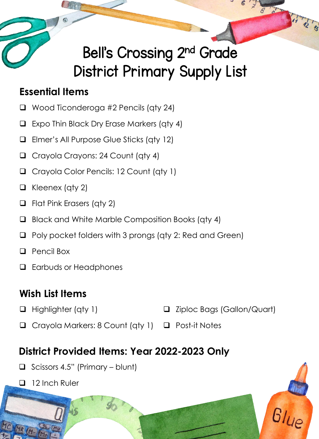# Bell's Crossing 2nd Grade District Primary Supply List

#### **Essential Items**

- ❑ Wood Ticonderoga #2 Pencils (qty 24)
- ❑ Expo Thin Black Dry Erase Markers (qty 4)
- ❑ Elmer's All Purpose Glue Sticks (qty 12)
- ❑ Crayola Crayons: 24 Count (qty 4)
- ❑ Crayola Color Pencils: 12 Count (qty 1)
- ❑ Kleenex (qty 2)
- ❑ Flat Pink Erasers (qty 2)
- ❑ Black and White Marble Composition Books (qty 4)
- ❑ Poly pocket folders with 3 prongs (qty 2: Red and Green)
- ❑ Pencil Box
- ❑ Earbuds or Headphones

## **Wish List Items**

❑ Highlighter (qty 1)

- ❑ Ziploc Bags (Gallon/Quart)
- ❑ Crayola Markers: 8 Count (qty 1) ❑ Post-it Notes

- ❑ Scissors 4.5" (Primary blunt)
- ❑ 12 Inch Ruler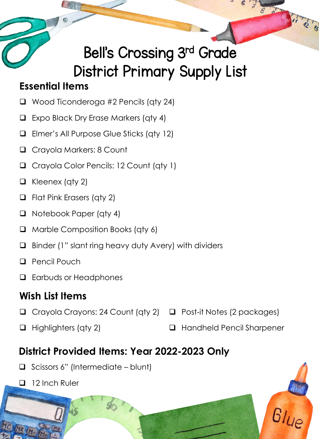## Bell's Crossing 3rd Grade District Primary Supply List

#### **Essential Items**

- ❑ Wood Ticonderoga #2 Pencils (qty 24)
- ❑ Expo Black Dry Erase Markers (qty 4)
- ❑ Elmer's All Purpose Glue Sticks (qty 12)
- ❑ Crayola Markers: 8 Count
- ❑ Crayola Color Pencils: 12 Count (qty 1)
- ❑ Kleenex (qty 2)
- ❑ Flat Pink Erasers (qty 2)
- ❑ Notebook Paper (qty 4)
- ❑ Marble Composition Books (qty 6)
- ❑ Binder (1" slant ring heavy duty Avery) with dividers
- ❑ Pencil Pouch
- ❑ Earbuds or Headphones

### **Wish List Items**

- ❑ Crayola Crayons: 24 Count (qty 2) ❑ Post-it Notes (2 packages)
- ❑ Highlighters (qty 2) ❑ Handheld Pencil Sharpener

- ❑ Scissors 6" (Intermediate blunt)
- ❑ 12 Inch Ruler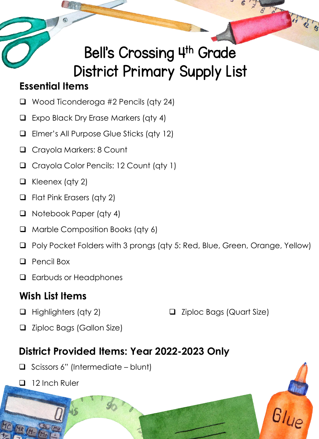## Bell's Crossing 4th Grade District Primary Supply List

#### **Essential Items**

- ❑ Wood Ticonderoga #2 Pencils (qty 24)
- ❑ Expo Black Dry Erase Markers (qty 4)
- ❑ Elmer's All Purpose Glue Sticks (qty 12)
- ❑ Crayola Markers: 8 Count
- ❑ Crayola Color Pencils: 12 Count (qty 1)
- ❑ Kleenex (qty 2)
- ❑ Flat Pink Erasers (qty 2)
- ❑ Notebook Paper (qty 4)
- ❑ Marble Composition Books (qty 6)
- ❑ Poly Pocket Folders with 3 prongs (qty 5: Red, Blue, Green, Orange, Yellow)
- ❑ Pencil Box
- ❑ Earbuds or Headphones

### **Wish List Items**

❑ Highlighters (qty 2)

❑ Ziploc Bags (Quart Size)

❑ Ziploc Bags (Gallon Size)

- ❑ Scissors 6" (Intermediate blunt)
- ❑ 12 Inch Ruler